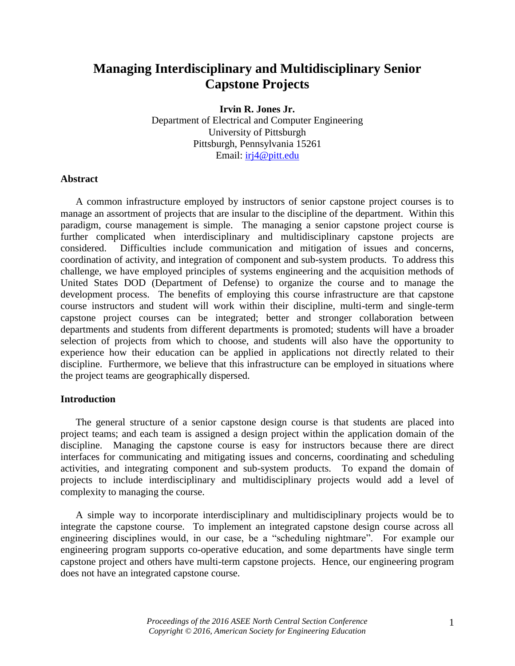# **Managing Interdisciplinary and Multidisciplinary Senior Capstone Projects**

**Irvin R. Jones Jr.** Department of Electrical and Computer Engineering University of Pittsburgh Pittsburgh, Pennsylvania 15261

Email:  $iri4@pitt.edu$ 

### **Abstract**

A common infrastructure employed by instructors of senior capstone project courses is to manage an assortment of projects that are insular to the discipline of the department. Within this paradigm, course management is simple. The managing a senior capstone project course is further complicated when interdisciplinary and multidisciplinary capstone projects are considered. Difficulties include communication and mitigation of issues and concerns, coordination of activity, and integration of component and sub-system products. To address this challenge, we have employed principles of systems engineering and the acquisition methods of United States DOD (Department of Defense) to organize the course and to manage the development process. The benefits of employing this course infrastructure are that capstone course instructors and student will work within their discipline, multi-term and single-term capstone project courses can be integrated; better and stronger collaboration between departments and students from different departments is promoted; students will have a broader selection of projects from which to choose, and students will also have the opportunity to experience how their education can be applied in applications not directly related to their discipline. Furthermore, we believe that this infrastructure can be employed in situations where the project teams are geographically dispersed.

### **Introduction**

The general structure of a senior capstone design course is that students are placed into project teams; and each team is assigned a design project within the application domain of the discipline. Managing the capstone course is easy for instructors because there are direct interfaces for communicating and mitigating issues and concerns, coordinating and scheduling activities, and integrating component and sub-system products. To expand the domain of projects to include interdisciplinary and multidisciplinary projects would add a level of complexity to managing the course.

A simple way to incorporate interdisciplinary and multidisciplinary projects would be to integrate the capstone course. To implement an integrated capstone design course across all engineering disciplines would, in our case, be a "scheduling nightmare". For example our engineering program supports co-operative education, and some departments have single term capstone project and others have multi-term capstone projects. Hence, our engineering program does not have an integrated capstone course.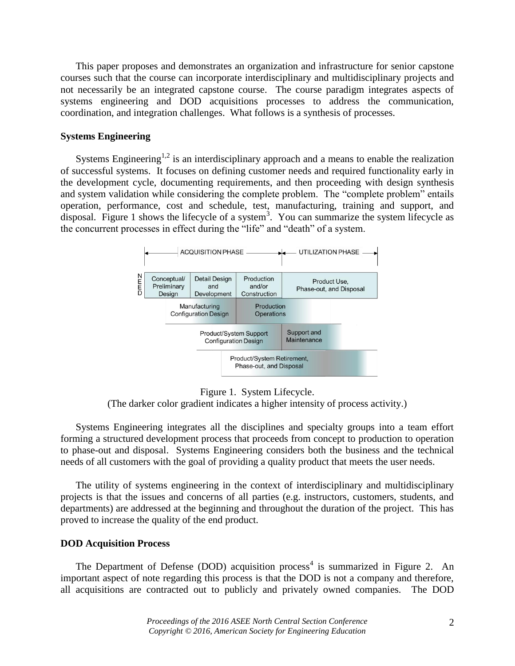This paper proposes and demonstrates an organization and infrastructure for senior capstone courses such that the course can incorporate interdisciplinary and multidisciplinary projects and not necessarily be an integrated capstone course. The course paradigm integrates aspects of systems engineering and DOD acquisitions processes to address the communication, coordination, and integration challenges. What follows is a synthesis of processes.

### **Systems Engineering**

Systems Engineering<sup>1,2</sup> is an interdisciplinary approach and a means to enable the realization of successful systems. It focuses on defining customer needs and required functionality early in the development cycle, documenting requirements, and then proceeding with design synthesis and system validation while considering the complete problem. The "complete problem" entails operation, performance, cost and schedule, test, manufacturing, training and support, and disposal. Figure 1 shows the lifecycle of a system<sup>3</sup>. You can summarize the system lifecycle as the concurrent processes in effect during the "life" and "death" of a system.



Figure 1. System Lifecycle.

(The darker color gradient indicates a higher intensity of process activity.)

Systems Engineering integrates all the disciplines and specialty groups into a team effort forming a structured development process that proceeds from concept to production to operation to phase-out and disposal. Systems Engineering considers both the business and the technical needs of all customers with the goal of providing a quality product that meets the user needs.

The utility of systems engineering in the context of interdisciplinary and multidisciplinary projects is that the issues and concerns of all parties (e.g. instructors, customers, students, and departments) are addressed at the beginning and throughout the duration of the project. This has proved to increase the quality of the end product.

#### **DOD Acquisition Process**

The Department of Defense (DOD) acquisition process<sup>4</sup> is summarized in Figure 2. An important aspect of note regarding this process is that the DOD is not a company and therefore, all acquisitions are contracted out to publicly and privately owned companies. The DOD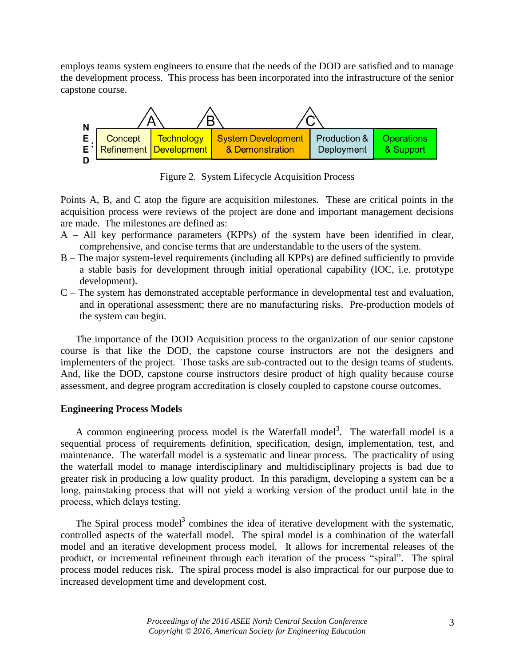employs teams system engineers to ensure that the needs of the DOD are satisfied and to manage the development process. This process has been incorporated into the infrastructure of the senior capstone course.



Figure 2. System Lifecycle Acquisition Process

Points A, B, and C atop the figure are acquisition milestones. These are critical points in the acquisition process were reviews of the project are done and important management decisions are made. The milestones are defined as:

- A All key performance parameters (KPPs) of the system have been identified in clear, comprehensive, and concise terms that are understandable to the users of the system.
- B The major system-level requirements (including all KPPs) are defined sufficiently to provide a stable basis for development through initial operational capability (IOC, i.e. prototype development).
- C The system has demonstrated acceptable performance in developmental test and evaluation, and in operational assessment; there are no manufacturing risks. Pre-production models of the system can begin.

The importance of the DOD Acquisition process to the organization of our senior capstone course is that like the DOD, the capstone course instructors are not the designers and implementers of the project. Those tasks are sub-contracted out to the design teams of students. And, like the DOD, capstone course instructors desire product of high quality because course assessment, and degree program accreditation is closely coupled to capstone course outcomes.

### **Engineering Process Models**

A common engineering process model is the Waterfall model<sup>3</sup>. The waterfall model is a sequential process of requirements definition, specification, design, implementation, test, and maintenance. The waterfall model is a systematic and linear process. The practicality of using the waterfall model to manage interdisciplinary and multidisciplinary projects is bad due to greater risk in producing a low quality product. In this paradigm, developing a system can be a long, painstaking process that will not yield a working version of the product until late in the process, which delays testing.

The Spiral process model<sup>3</sup> combines the idea of iterative development with the systematic, controlled aspects of the waterfall model. The spiral model is a combination of the waterfall model and an iterative development process model. It allows for incremental releases of the product, or incremental refinement through each iteration of the process "spiral". The spiral process model reduces risk. The spiral process model is also impractical for our purpose due to increased development time and development cost.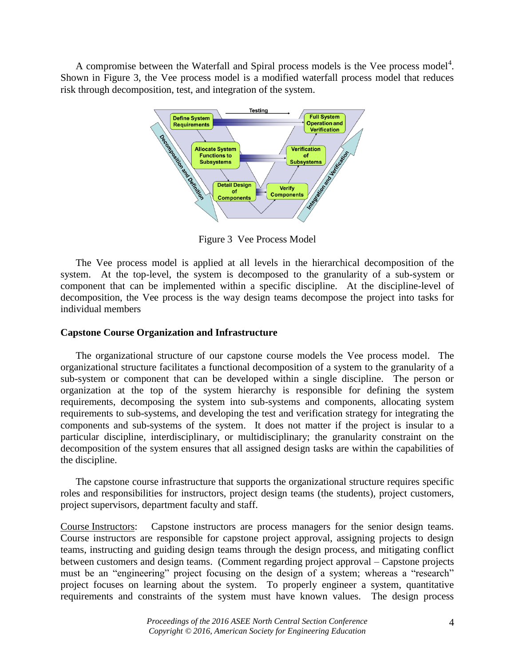A compromise between the Waterfall and Spiral process models is the Vee process model $4$ . Shown in Figure 3, the Vee process model is a modified waterfall process model that reduces risk through decomposition, test, and integration of the system.



Figure 3 Vee Process Model

The Vee process model is applied at all levels in the hierarchical decomposition of the system. At the top-level, the system is decomposed to the granularity of a sub-system or component that can be implemented within a specific discipline. At the discipline-level of decomposition, the Vee process is the way design teams decompose the project into tasks for individual members

## **Capstone Course Organization and Infrastructure**

The organizational structure of our capstone course models the Vee process model. The organizational structure facilitates a functional decomposition of a system to the granularity of a sub-system or component that can be developed within a single discipline. The person or organization at the top of the system hierarchy is responsible for defining the system requirements, decomposing the system into sub-systems and components, allocating system requirements to sub-systems, and developing the test and verification strategy for integrating the components and sub-systems of the system. It does not matter if the project is insular to a particular discipline, interdisciplinary, or multidisciplinary; the granularity constraint on the decomposition of the system ensures that all assigned design tasks are within the capabilities of the discipline.

The capstone course infrastructure that supports the organizational structure requires specific roles and responsibilities for instructors, project design teams (the students), project customers, project supervisors, department faculty and staff.

Course Instructors: Capstone instructors are process managers for the senior design teams. Course instructors are responsible for capstone project approval, assigning projects to design teams, instructing and guiding design teams through the design process, and mitigating conflict between customers and design teams. (Comment regarding project approval – Capstone projects must be an "engineering" project focusing on the design of a system; whereas a "research" project focuses on learning about the system. To properly engineer a system, quantitative requirements and constraints of the system must have known values. The design process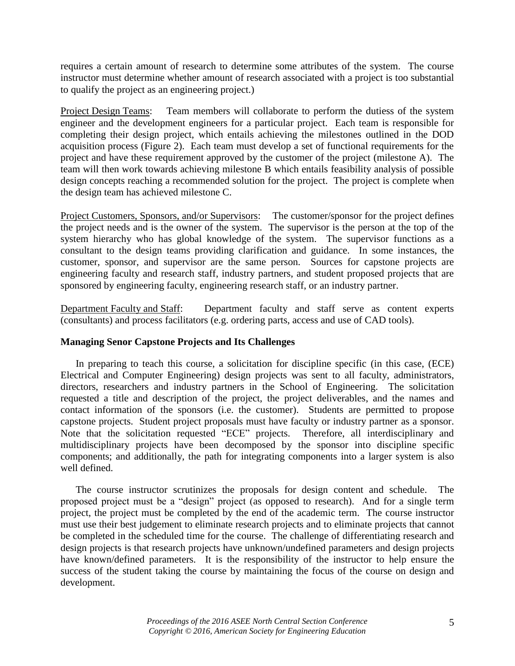requires a certain amount of research to determine some attributes of the system. The course instructor must determine whether amount of research associated with a project is too substantial to qualify the project as an engineering project.)

Project Design Teams: Team members will collaborate to perform the dutiess of the system engineer and the development engineers for a particular project. Each team is responsible for completing their design project, which entails achieving the milestones outlined in the DOD acquisition process (Figure 2). Each team must develop a set of functional requirements for the project and have these requirement approved by the customer of the project (milestone A). The team will then work towards achieving milestone B which entails feasibility analysis of possible design concepts reaching a recommended solution for the project. The project is complete when the design team has achieved milestone C.

Project Customers, Sponsors, and/or Supervisors: The customer/sponsor for the project defines the project needs and is the owner of the system. The supervisor is the person at the top of the system hierarchy who has global knowledge of the system. The supervisor functions as a consultant to the design teams providing clarification and guidance. In some instances, the customer, sponsor, and supervisor are the same person. Sources for capstone projects are engineering faculty and research staff, industry partners, and student proposed projects that are sponsored by engineering faculty, engineering research staff, or an industry partner.

Department Faculty and Staff: Department faculty and staff serve as content experts (consultants) and process facilitators (e.g. ordering parts, access and use of CAD tools).

# **Managing Senor Capstone Projects and Its Challenges**

In preparing to teach this course, a solicitation for discipline specific (in this case, (ECE) Electrical and Computer Engineering) design projects was sent to all faculty, administrators, directors, researchers and industry partners in the School of Engineering. The solicitation requested a title and description of the project, the project deliverables, and the names and contact information of the sponsors (i.e. the customer). Students are permitted to propose capstone projects. Student project proposals must have faculty or industry partner as a sponsor. Note that the solicitation requested "ECE" projects. Therefore, all interdisciplinary and multidisciplinary projects have been decomposed by the sponsor into discipline specific components; and additionally, the path for integrating components into a larger system is also well defined.

The course instructor scrutinizes the proposals for design content and schedule. The proposed project must be a "design" project (as opposed to research). And for a single term project, the project must be completed by the end of the academic term. The course instructor must use their best judgement to eliminate research projects and to eliminate projects that cannot be completed in the scheduled time for the course. The challenge of differentiating research and design projects is that research projects have unknown/undefined parameters and design projects have known/defined parameters. It is the responsibility of the instructor to help ensure the success of the student taking the course by maintaining the focus of the course on design and development.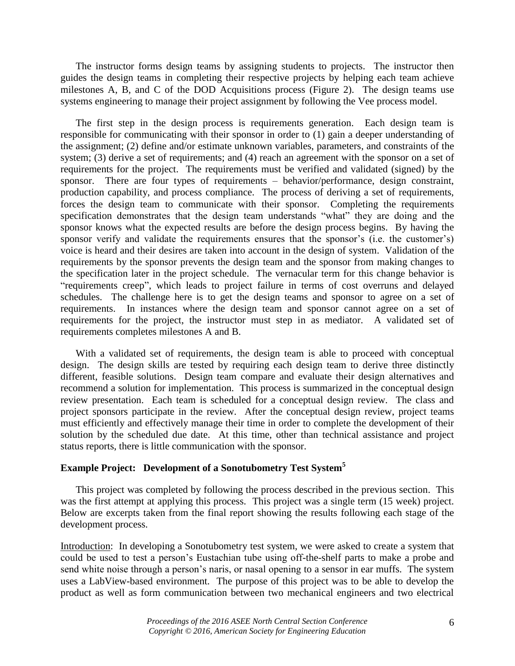The instructor forms design teams by assigning students to projects. The instructor then guides the design teams in completing their respective projects by helping each team achieve milestones A, B, and C of the DOD Acquisitions process (Figure 2). The design teams use systems engineering to manage their project assignment by following the Vee process model.

The first step in the design process is requirements generation. Each design team is responsible for communicating with their sponsor in order to (1) gain a deeper understanding of the assignment; (2) define and/or estimate unknown variables, parameters, and constraints of the system; (3) derive a set of requirements; and (4) reach an agreement with the sponsor on a set of requirements for the project. The requirements must be verified and validated (signed) by the sponsor. There are four types of requirements – behavior/performance, design constraint, production capability, and process compliance. The process of deriving a set of requirements, forces the design team to communicate with their sponsor. Completing the requirements specification demonstrates that the design team understands "what" they are doing and the sponsor knows what the expected results are before the design process begins. By having the sponsor verify and validate the requirements ensures that the sponsor's (i.e. the customer's) voice is heard and their desires are taken into account in the design of system. Validation of the requirements by the sponsor prevents the design team and the sponsor from making changes to the specification later in the project schedule. The vernacular term for this change behavior is "requirements creep", which leads to project failure in terms of cost overruns and delayed schedules. The challenge here is to get the design teams and sponsor to agree on a set of requirements. In instances where the design team and sponsor cannot agree on a set of requirements for the project, the instructor must step in as mediator. A validated set of requirements completes milestones A and B.

With a validated set of requirements, the design team is able to proceed with conceptual design. The design skills are tested by requiring each design team to derive three distinctly different, feasible solutions. Design team compare and evaluate their design alternatives and recommend a solution for implementation. This process is summarized in the conceptual design review presentation. Each team is scheduled for a conceptual design review. The class and project sponsors participate in the review. After the conceptual design review, project teams must efficiently and effectively manage their time in order to complete the development of their solution by the scheduled due date. At this time, other than technical assistance and project status reports, there is little communication with the sponsor.

# **Example Project: Development of a Sonotubometry Test System<sup>5</sup>**

This project was completed by following the process described in the previous section. This was the first attempt at applying this process. This project was a single term (15 week) project. Below are excerpts taken from the final report showing the results following each stage of the development process.

Introduction: In developing a Sonotubometry test system, we were asked to create a system that could be used to test a person's Eustachian tube using off-the-shelf parts to make a probe and send white noise through a person's naris, or nasal opening to a sensor in ear muffs. The system uses a LabView-based environment. The purpose of this project was to be able to develop the product as well as form communication between two mechanical engineers and two electrical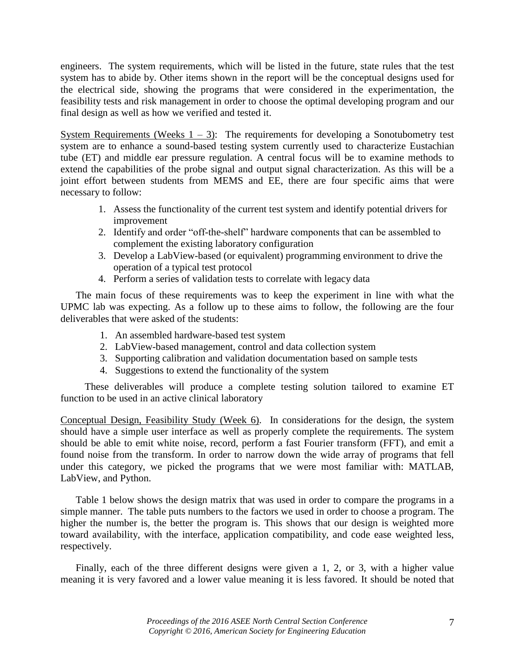engineers. The system requirements, which will be listed in the future, state rules that the test system has to abide by. Other items shown in the report will be the conceptual designs used for the electrical side, showing the programs that were considered in the experimentation, the feasibility tests and risk management in order to choose the optimal developing program and our final design as well as how we verified and tested it.

System Requirements (Weeks  $1 - 3$ ): The requirements for developing a Sonotubometry test system are to enhance a sound-based testing system currently used to characterize Eustachian tube (ET) and middle ear pressure regulation. A central focus will be to examine methods to extend the capabilities of the probe signal and output signal characterization. As this will be a joint effort between students from MEMS and EE, there are four specific aims that were necessary to follow:

- 1. Assess the functionality of the current test system and identify potential drivers for improvement
- 2. Identify and order "off-the-shelf" hardware components that can be assembled to complement the existing laboratory configuration
- 3. Develop a LabView-based (or equivalent) programming environment to drive the operation of a typical test protocol
- 4. Perform a series of validation tests to correlate with legacy data

The main focus of these requirements was to keep the experiment in line with what the UPMC lab was expecting. As a follow up to these aims to follow, the following are the four deliverables that were asked of the students:

- 1. An assembled hardware-based test system
- 2. LabView-based management, control and data collection system
- 3. Supporting calibration and validation documentation based on sample tests
- 4. Suggestions to extend the functionality of the system

These deliverables will produce a complete testing solution tailored to examine ET function to be used in an active clinical laboratory

Conceptual Design, Feasibility Study (Week 6). In considerations for the design, the system should have a simple user interface as well as properly complete the requirements. The system should be able to emit white noise, record, perform a fast Fourier transform (FFT), and emit a found noise from the transform. In order to narrow down the wide array of programs that fell under this category, we picked the programs that we were most familiar with: MATLAB, LabView, and Python.

Table 1 below shows the design matrix that was used in order to compare the programs in a simple manner. The table puts numbers to the factors we used in order to choose a program. The higher the number is, the better the program is. This shows that our design is weighted more toward availability, with the interface, application compatibility, and code ease weighted less, respectively.

Finally, each of the three different designs were given a 1, 2, or 3, with a higher value meaning it is very favored and a lower value meaning it is less favored. It should be noted that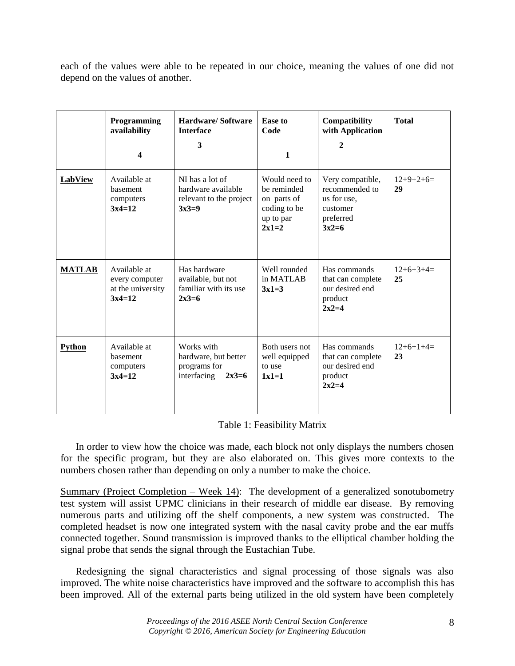each of the values were able to be repeated in our choice, meaning the values of one did not depend on the values of another.

|               | Programming<br>availability<br>4                                | <b>Hardware/Software</b><br><b>Interface</b><br>3                            | <b>Ease to</b><br>Code<br>$\mathbf{1}$                                              | Compatibility<br>with Application<br>2                                                | <b>Total</b>      |
|---------------|-----------------------------------------------------------------|------------------------------------------------------------------------------|-------------------------------------------------------------------------------------|---------------------------------------------------------------------------------------|-------------------|
| LabView       | Available at<br>basement<br>computers<br>$3x4=12$               | NI has a lot of<br>hardware available<br>relevant to the project<br>$3x3=9$  | Would need to<br>be reminded<br>on parts of<br>coding to be<br>up to par<br>$2x1=2$ | Very compatible,<br>recommended to<br>us for use,<br>customer<br>preferred<br>$3x2=6$ | $12+9+2+6=$<br>29 |
| <b>MATLAB</b> | Available at<br>every computer<br>at the university<br>$3x4=12$ | Has hardware<br>available, but not<br>familiar with its use<br>$2x3=6$       | Well rounded<br>in MATLAB<br>$3x1=3$                                                | Has commands<br>that can complete<br>our desired end<br>product<br>$2x2=4$            | $12+6+3+4=$<br>25 |
| <b>Python</b> | Available at<br>basement<br>computers<br>$3x4=12$               | Works with<br>hardware, but better<br>programs for<br>interfacing<br>$2x3=6$ | Both users not<br>well equipped<br>to use<br>$1x1=1$                                | Has commands<br>that can complete<br>our desired end<br>product<br>$2x2=4$            | $12+6+1+4=$<br>23 |

### Table 1: Feasibility Matrix

In order to view how the choice was made, each block not only displays the numbers chosen for the specific program, but they are also elaborated on. This gives more contexts to the numbers chosen rather than depending on only a number to make the choice.

Summary (Project Completion – Week 14): The development of a generalized sonotubometry test system will assist UPMC clinicians in their research of middle ear disease. By removing numerous parts and utilizing off the shelf components, a new system was constructed. The completed headset is now one integrated system with the nasal cavity probe and the ear muffs connected together. Sound transmission is improved thanks to the elliptical chamber holding the signal probe that sends the signal through the Eustachian Tube.

Redesigning the signal characteristics and signal processing of those signals was also improved. The white noise characteristics have improved and the software to accomplish this has been improved. All of the external parts being utilized in the old system have been completely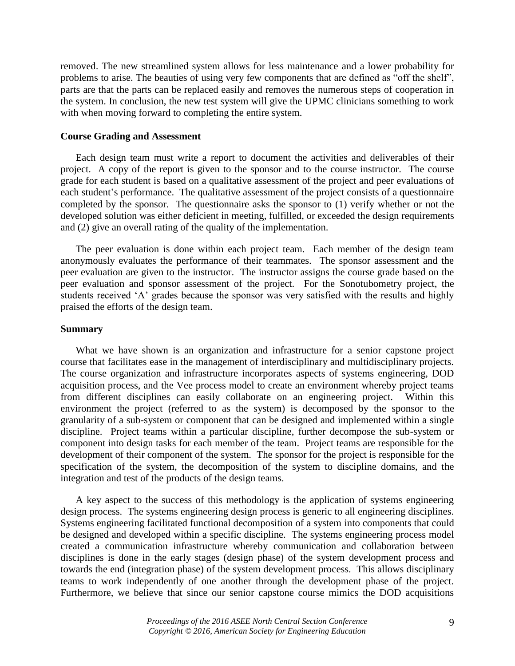removed. The new streamlined system allows for less maintenance and a lower probability for problems to arise. The beauties of using very few components that are defined as "off the shelf", parts are that the parts can be replaced easily and removes the numerous steps of cooperation in the system. In conclusion, the new test system will give the UPMC clinicians something to work with when moving forward to completing the entire system.

### **Course Grading and Assessment**

Each design team must write a report to document the activities and deliverables of their project. A copy of the report is given to the sponsor and to the course instructor. The course grade for each student is based on a qualitative assessment of the project and peer evaluations of each student's performance. The qualitative assessment of the project consists of a questionnaire completed by the sponsor. The questionnaire asks the sponsor to (1) verify whether or not the developed solution was either deficient in meeting, fulfilled, or exceeded the design requirements and (2) give an overall rating of the quality of the implementation.

The peer evaluation is done within each project team. Each member of the design team anonymously evaluates the performance of their teammates. The sponsor assessment and the peer evaluation are given to the instructor. The instructor assigns the course grade based on the peer evaluation and sponsor assessment of the project. For the Sonotubometry project, the students received 'A' grades because the sponsor was very satisfied with the results and highly praised the efforts of the design team.

### **Summary**

What we have shown is an organization and infrastructure for a senior capstone project course that facilitates ease in the management of interdisciplinary and multidisciplinary projects. The course organization and infrastructure incorporates aspects of systems engineering, DOD acquisition process, and the Vee process model to create an environment whereby project teams from different disciplines can easily collaborate on an engineering project. Within this environment the project (referred to as the system) is decomposed by the sponsor to the granularity of a sub-system or component that can be designed and implemented within a single discipline. Project teams within a particular discipline, further decompose the sub-system or component into design tasks for each member of the team. Project teams are responsible for the development of their component of the system. The sponsor for the project is responsible for the specification of the system, the decomposition of the system to discipline domains, and the integration and test of the products of the design teams.

A key aspect to the success of this methodology is the application of systems engineering design process. The systems engineering design process is generic to all engineering disciplines. Systems engineering facilitated functional decomposition of a system into components that could be designed and developed within a specific discipline. The systems engineering process model created a communication infrastructure whereby communication and collaboration between disciplines is done in the early stages (design phase) of the system development process and towards the end (integration phase) of the system development process. This allows disciplinary teams to work independently of one another through the development phase of the project. Furthermore, we believe that since our senior capstone course mimics the DOD acquisitions